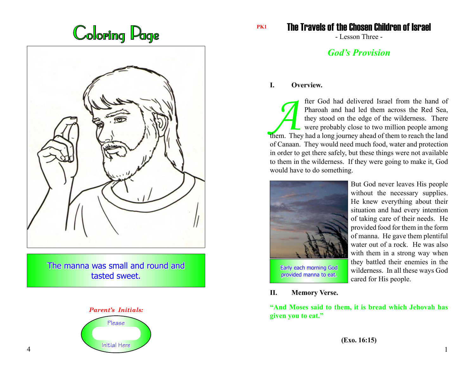



The manna was small and round and tasted sweet.



The Travels of the Chosen Children of Israel

- Lesson Three -

# *God's Provision*

## **I. Overview.**

The God had delivered Israel from the hand of Pharoah and had led them across the Red Sea, they stood on the edge of the wilderness. There were probably close to two million people among them. They had a long journey ahead Pharoah and had led them across the Red Sea, they stood on the edge of the wilderness. There were probably close to two million people among of Canaan. They would need much food, water and protection in order to get there safely, but these things were not available to them in the wilderness. If they were going to make it, God would have to do something.



But God never leaves His people without the necessary supplies. He knew everything about their situation and had every intention of taking care of their needs. He provided food for them in the form of manna. He gave them plentiful water out of a rock. He was also with them in a strong way when they battled their enemies in the wilderness. In all these ways God cared for His people.

**II. Memory Verse.**

**"And Moses said to them, it is bread which Jehovah has given you to eat."**